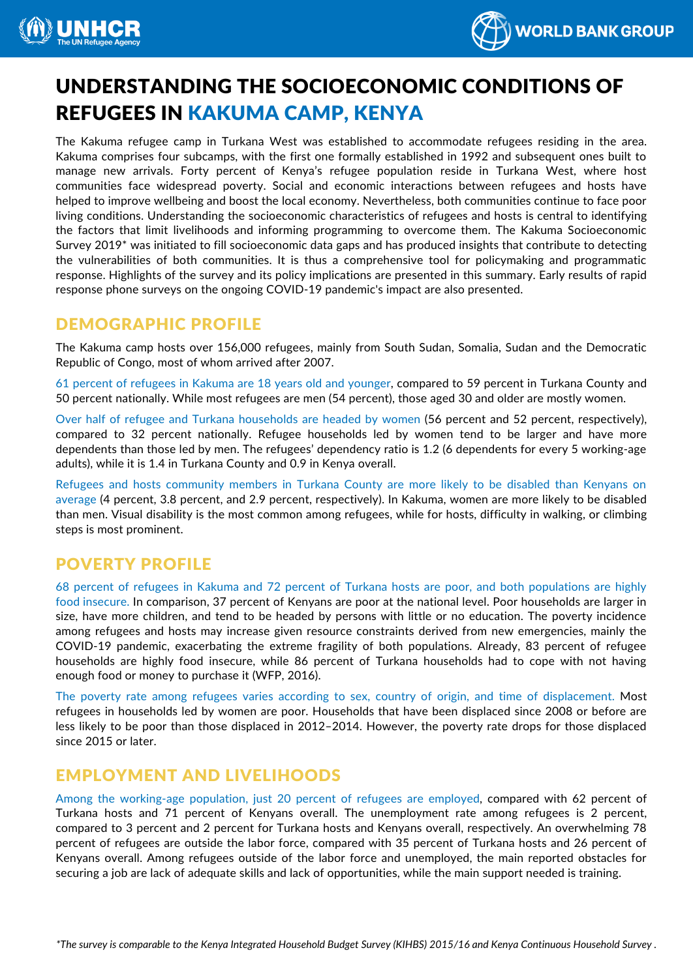



# UNDERSTANDING THE SOCIOECONOMIC CONDITIONS OF REFUGEES IN KAKUMA CAMP, KENYA

The Kakuma refugee camp in Turkana West was established to accommodate refugees residing in the area. Kakuma comprises four subcamps, with the first one formally established in 1992 and subsequent ones built to manage new arrivals. Forty percent of Kenya's refugee population reside in Turkana West, where host communities face widespread poverty. Social and economic interactions between refugees and hosts have helped to improve wellbeing and boost the local economy. Nevertheless, both communities continue to face poor living conditions. Understanding the socioeconomic characteristics of refugees and hosts is central to identifying the factors that limit livelihoods and informing programming to overcome them. The Kakuma Socioeconomic Survey 2019\* was initiated to fill socioeconomic data gaps and has produced insights that contribute to detecting the vulnerabilities of both communities. It is thus a comprehensive tool for policymaking and programmatic response. Highlights of the survey and its policy implications are presented in this summary. Early results of rapid response phone surveys on the ongoing COVID-19 pandemic's impact are also presented.

### DEMOGRAPHIC PROFILE

The Kakuma camp hosts over 156,000 refugees, mainly from South Sudan, Somalia, Sudan and the Democratic Republic of Congo, most of whom arrived after 2007.

61 percent of refugees in Kakuma are 18 years old and younger, compared to 59 percent in Turkana County and 50 percent nationally. While most refugees are men (54 percent), those aged 30 and older are mostly women.

Over half of refugee and Turkana households are headed by women (56 percent and 52 percent, respectively), compared to 32 percent nationally. Refugee households led by women tend to be larger and have more dependents than those led by men. The refugees' dependency ratio is 1.2 (6 dependents for every 5 working-age adults), while it is 1.4 in Turkana County and 0.9 in Kenya overall.

Refugees and hosts community members in Turkana County are more likely to be disabled than Kenyans on average (4 percent, 3.8 percent, and 2.9 percent, respectively). In Kakuma, women are more likely to be disabled than men. Visual disability is the most common among refugees, while for hosts, difficulty in walking, or climbing steps is most prominent.

# POVERTY PROFILE

68 percent of refugees in Kakuma and 72 percent of Turkana hosts are poor, and both populations are highly food insecure. In comparison, 37 percent of Kenyans are poor at the national level. Poor households are larger in size, have more children, and tend to be headed by persons with little or no education. The poverty incidence among refugees and hosts may increase given resource constraints derived from new emergencies, mainly the COVID-19 pandemic, exacerbating the extreme fragility of both populations. Already, 83 percent of refugee households are highly food insecure, while 86 percent of Turkana households had to cope with not having enough food or money to purchase it (WFP, 2016).

The poverty rate among refugees varies according to sex, country of origin, and time of displacement. Most refugees in households led by women are poor. Households that have been displaced since 2008 or before are less likely to be poor than those displaced in 2012–2014. However, the poverty rate drops for those displaced since 2015 or later.

# EMPLOYMENT AND LIVELIHOODS

Among the working-age population, just 20 percent of refugees are employed, compared with 62 percent of Turkana hosts and 71 percent of Kenyans overall. The unemployment rate among refugees is 2 percent, compared to 3 percent and 2 percent for Turkana hosts and Kenyans overall, respectively. An overwhelming 78 percent of refugees are outside the labor force, compared with 35 percent of Turkana hosts and 26 percent of Kenyans overall. Among refugees outside of the labor force and unemployed, the main reported obstacles for securing a job are lack of adequate skills and lack of opportunities, while the main support needed is training.